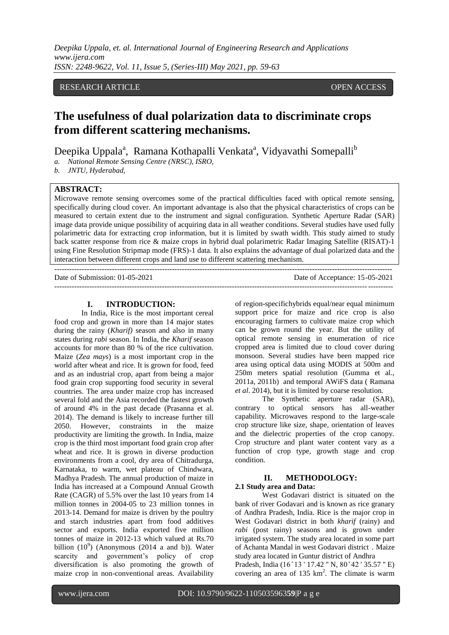*Deepika Uppala, et. al. International Journal of Engineering Research and Applications www.ijera.com ISSN: 2248-9622, Vol. 11, Issue 5, (Series-III) May 2021, pp. 59-63*

# RESEARCH ARTICLE **CONTRACT OPEN ACCESS**

# **The usefulness of dual polarization data to discriminate crops from different scattering mechanisms.**

Deepika Uppala<sup>a</sup>, Ramana Kothapalli Venkata<sup>a</sup>, Vidyavathi Somepalli<sup>b</sup>

*a. National Remote Sensing Centre (NRSC), ISRO,*

*b. JNTU, Hyderabad,*

# **ABSTRACT:**

Microwave remote sensing overcomes some of the practical difficulties faced with optical remote sensing, specifically during cloud cover. An important advantage is also that the physical characteristics of crops can be measured to certain extent due to the instrument and signal configuration. Synthetic Aperture Radar (SAR) image data provide unique possibility of acquiring data in all weather conditions. Several studies have used fully polarimetric data for extracting crop information, but it is limited by swath width. This study aimed to study back scatter response from rice & maize crops in hybrid dual polarimetric Radar Imaging Satellite (RISAT)-1 using Fine Resolution Stripmap mode (FRS)-1 data. It also explains the advantage of dual polarized data and the interaction between different crops and land use to different scattering mechanism.

--------------------------------------------------------------------------------------------------------------------------------------- Date of Submission: 01-05-2021 Date of Acceptance: 15-05-2021 ---------------------------------------------------------------------------------------------------------------------------------------

## **I. INTRODUCTION:**

In India, Rice is the most important cereal food crop and grown in more than 14 major states during the rainy (*Kharif)* season and also in many states during *rabi* season. In India, the *Kharif* season accounts for more than 80 % of the rice cultivation. Maize (*Zea mays*) is a most important crop in the world after wheat and rice. It is grown for food, feed and as an industrial crop, apart from being a major food grain crop supporting food security in several countries. The area under maize crop has increased several fold and the Asia recorded the fastest growth of around 4% in the past decade (Prasanna et al. 2014). The demand is likely to increase further till 2050. However, constraints in the maize productivity are limiting the growth. In India, maize crop is the third most important food grain crop after wheat and rice. It is grown in diverse production environments from a cool, dry area of Chitradurga, Karnataka, to warm, wet plateau of Chindwara, Madhya Pradesh. The annual production of maize in India has increased at a Compound Annual Growth Rate (CAGR) of 5.5% over the last 10 years from 14 million tonnes in 2004-05 to 23 million tonnes in 2013-14. Demand for maize is driven by the poultry and starch industries apart from food additives sector and exports. India exported five million tonnes of maize in 2012-13 which valued at Rs.70 billion  $(10^9)$  (Anonymous (2014 a and b)). Water scarcity and government's policy of crop diversification is also promoting the growth of maize crop in non-conventional areas. Availability

of region-specifichybrids equal/near equal minimum support price for maize and rice crop is also encouraging farmers to cultivate maize crop which can be grown round the year. But the utility of optical remote sensing in enumeration of rice cropped area is limited due to cloud cover during monsoon. Several studies have been mapped rice area using optical data using MODIS at 500m and 250m meters spatial resolution (Gumma et al., 2011a, 2011b) and temporal AWiFS data ( Ramana *et al*. 2014), but it is limited by coarse resolution.

The Synthetic aperture radar (SAR), contrary to optical sensors has all-weather capability. Microwaves respond to the large-scale crop structure like size, shape, orientation of leaves and the dielectric properties of the crop canopy. Crop structure and plant water content vary as a function of crop type, growth stage and crop condition.

#### **II. METHODOLOGY: 2.1 Study area and Data:**

West Godavari district is situated on the bank of river Godavari and is known as rice granary of Andhra Pradesh, India. Rice is the major crop in West Godavari district in both *kharif* (rainy) and *rabi* (post rainy) seasons and is grown under irrigated system. The study area located in some part of Achanta Mandal in west Godavari district . Maize study area located in Guntur district of Andhra Pradesh, India (16°13 ' 17.42 " N, 80°42 ' 35.57 " E) covering an area of  $135 \text{ km}^2$ . The climate is warm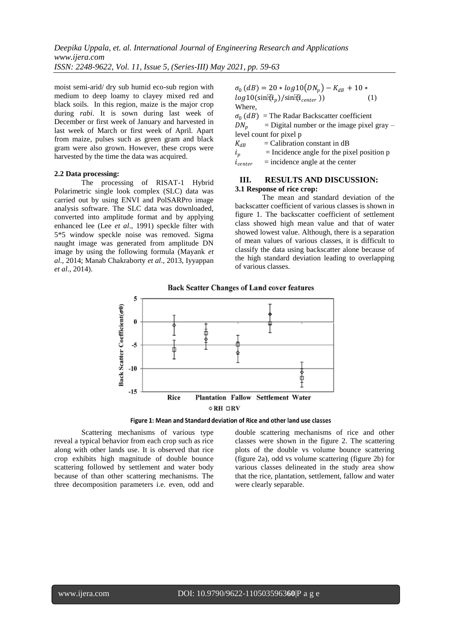*Deepika Uppala, et. al. International Journal of Engineering Research and Applications www.ijera.com ISSN: 2248-9622, Vol. 11, Issue 5, (Series-III) May 2021, pp. 59-63*

moist semi-arid/ dry sub humid eco-sub region with medium to deep loamy to clayey mixed red and black soils. In this region*,* maize is the major crop during *rabi*. It is sown during last week of December or first week of January and harvested in last week of March or first week of April. Apart from maize, pulses such as green gram and black gram were also grown. However, these crops were harvested by the time the data was acquired.

#### **2.2 Data processing:**

The processing of RISAT-1 Hybrid Polarimetric single look complex (SLC) data was carried out by using ENVI and PolSARPro image analysis software. The SLC data was downloaded, converted into amplitude format and by applying enhanced lee (Lee *et al*., 1991) speckle filter with 5\*5 window speckle noise was removed. Sigma naught image was generated from amplitude DN image by using the following formula (Mayank *et al*., 2014; Manab Chakraborty *et al*., 2013, Iyyappan *et al*., 2014).

 $\sigma_0$  (dB) = 20 \* log10(DN<sub>p</sub>) – K<sub>dB</sub> + 10 \*  $log 10(\sin[\hat{u}_n)/\sin[\hat{u}_{center}])$  (1) Where,  $\sigma_0$  (*dB*) = The Radar Backscatter coefficient  $DN_n$  $=$  Digital number or the image pixel gray – level count for pixel p  $K_{dB}$  = Calibration constant in dB  $i_p$ = Incidence angle for the pixel position p

 $i_{center}$  $=$  incidence angle at the center

## **III. RESULTS AND DISCUSSION: 3.1 Response of rice crop:**

The mean and standard deviation of the backscatter coefficient of various classes is shown in figure 1. The backscatter coefficient of settlement class showed high mean value and that of water showed lowest value. Although, there is a separation of mean values of various classes, it is difficult to classify the data using backscatter alone because of the high standard deviation leading to overlapping of various classes.



Figure 1: Mean and Standard deviation of Rice and other land use classes

Scattering mechanisms of various type reveal a typical behavior from each crop such as rice along with other lands use. It is observed that rice crop exhibits high magnitude of double bounce scattering followed by settlement and water body because of than other scattering mechanisms. The three decomposition parameters i.e. even, odd and double scattering mechanisms of rice and other classes were shown in the figure 2. The scattering plots of the double vs volume bounce scattering (figure 2a), odd vs volume scattering (figure 2b) for various classes delineated in the study area show that the rice, plantation, settlement, fallow and water were clearly separable.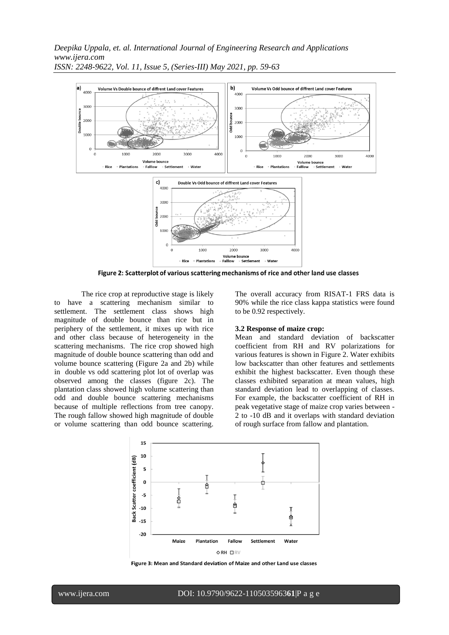*Deepika Uppala, et. al. International Journal of Engineering Research and Applications www.ijera.com ISSN: 2248-9622, Vol. 11, Issue 5, (Series-III) May 2021, pp. 59-63*



Figure 2: Scatterplot of various scattering mechanisms of rice and other land use classes

The rice crop at reproductive stage is likely to have a scattering mechanism similar to settlement. The settlement class shows high magnitude of double bounce than rice but in periphery of the settlement, it mixes up with rice and other class because of heterogeneity in the scattering mechanisms. The rice crop showed high magnitude of double bounce scattering than odd and volume bounce scattering (Figure 2a and 2b) while in double vs odd scattering plot lot of overlap was observed among the classes (figure 2c). The plantation class showed high volume scattering than odd and double bounce scattering mechanisms because of multiple reflections from tree canopy. The rough fallow showed high magnitude of double or volume scattering than odd bounce scattering.

The overall accuracy from RISAT-1 FRS data is 90% while the rice class kappa statistics were found to be 0.92 respectively.

## **3.2 Response of maize crop:**

Mean and standard deviation of backscatter coefficient from RH and RV polarizations for various features is shown in Figure 2. Water exhibits low backscatter than other features and settlements exhibit the highest backscatter. Even though these classes exhibited separation at mean values, high standard deviation lead to overlapping of classes. For example, the backscatter coefficient of RH in peak vegetative stage of maize crop varies between - 2 to -10 dB and it overlaps with standard deviation of rough surface from fallow and plantation.



Figure 3: Mean and Standard deviation of Maize and other Land use classes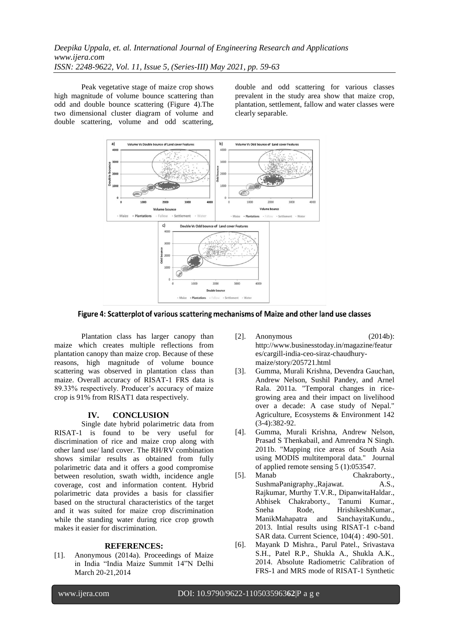Peak vegetative stage of maize crop shows high magnitude of volume bounce scattering than odd and double bounce scattering (Figure 4).The two dimensional cluster diagram of volume and double scattering, volume and odd scattering, double and odd scattering for various classes prevalent in the study area show that maize crop, plantation, settlement, fallow and water classes were clearly separable.



Figure 4: Scatterplot of various scattering mechanisms of Maize and other land use classes

Plantation class has larger canopy than maize which creates multiple reflections from plantation canopy than maize crop. Because of these reasons, high magnitude of volume bounce scattering was observed in plantation class than maize. Overall accuracy of RISAT-1 FRS data is 89.33% respectively. Producer's accuracy of maize crop is 91% from RISAT1 data respectively.

# **IV. CONCLUSION**

Single date hybrid polarimetric data from RISAT-1 is found to be very useful for discrimination of rice and maize crop along with other land use/ land cover. The RH/RV combination shows similar results as obtained from fully polarimetric data and it offers a good compromise between resolution, swath width, incidence angle coverage, cost and information content. Hybrid polarimetric data provides a basis for classifier based on the structural characteristics of the target and it was suited for maize crop discrimination while the standing water during rice crop growth makes it easier for discrimination.

#### **REFERENCES:**

[1]. Anonymous (2014a). Proceedings of Maize in India "India Maize Summit 14"N Delhi March 20-21,2014

- [2]. Anonymous (2014b): [http://www.businesstoday.in/magazine/featur](http://www.businesstoday.in/magazine/features/cargill-india-ceo-siraz-chaudhury-maize/story/205721.html) [es/cargill-india-ceo-siraz-chaudhury](http://www.businesstoday.in/magazine/features/cargill-india-ceo-siraz-chaudhury-maize/story/205721.html)[maize/story/205721.html](http://www.businesstoday.in/magazine/features/cargill-india-ceo-siraz-chaudhury-maize/story/205721.html)
- [3]. Gumma, Murali Krishna, Devendra Gauchan, Andrew Nelson, Sushil Pandey, and Arnel Rala. 2011a. "Temporal changes in ricegrowing area and their impact on livelihood over a decade: A case study of Nepal." Agriculture, Ecosystems & Environment 142 (3-4):382-92.
- [4]. Gumma, Murali Krishna, Andrew Nelson, Prasad S Thenkabail, and Amrendra N Singh. 2011b. "Mapping rice areas of South Asia using MODIS multitemporal data." Journal of applied remote sensing 5 (1):053547.<br>Manab Chakrah
- [5]. Manab Chakraborty., SushmaPanigraphy.,Rajawat. A.S., Rajkumar, Murthy T.V.R., DipanwitaHaldar., Abhisek Chakraborty., Tanumi Kumar., Sneha Rode, HrishikeshKumar., ManikMahapatra and SanchayitaKundu., 2013. Intial results using RISAT-1 c-band SAR data. Current Science, 104(4) : 490-501.
- [6]. Mayank D Mishra., Parul Patel., Srivastava S.H., Patel R.P., Shukla A., Shukla A.K., 2014. Absolute Radiometric Calibration of FRS-1 and MRS mode of RISAT-1 Synthetic